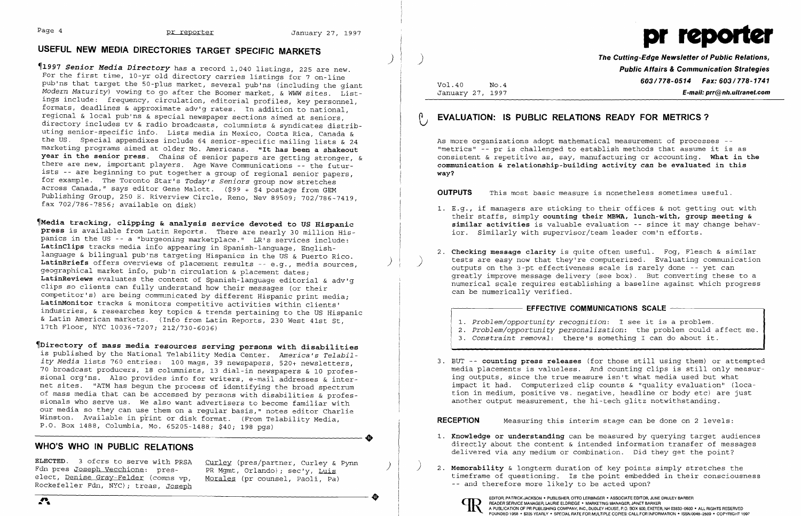# **USEFUL NEW MEDIA DIRECTORIES TARGET SPECIFIC MARKETS**

)

~1997 *Senior Media Directory* has a record 1,040 listings, 225 are new. For the first time, 10-yr old directory carries listings for 7 on-line Ī pub'ns that target the 50-plus market, several pub'ns (including the giant *Modern Maturity)* vowing to go after the Boomer market, & WWW sites. List ings include: frequency, circulation, editorial profiles, key personnel, formats, deadlines & approximate adv'g rates. In addition to national, regional & local pub'ns & special newspaper sections aimed at seniors, directory includes tv & radio broadcasts, columnists & syndicates distrib uting senior-specific info. Lists media in Mexico, Costa Rica, Canada & uting senior-specific info. Lists media in Mexico, Costa Rica, Canada &<br>the US. Special appendixes include 64 senior-specific mailing lists & 24 marketing programs aimed at older No. Americans. **"It has been a shakeout year in the senior press.** Chains of senior papers are getting stronger, & there are new, important players. Age Wave Communications -- the futur ists -- are beginning to put together a group of regional senior papers, for example. The Toronto Star's *Today's Seniors* group now stretches across Canada," says editor Gene Malott. (\$99 + \$4 postage from GEM Publishing Group, 250 E. Riverview Circle, Reno, Nev 89509; 702/786-7419, fax 702/786-7856; available on disk)

**ELECTED**. 3 ofcrs to serve with PRSA Curley (pres/partner, Curley & Pynn Fdn pres Joseph Vecchione: pres- PR Mgmt, Orlando); sec'y, Luis<br>elect, <u>Denise Gray-Felder</u> (comns vp, Morales (pr counsel, Paoli, Pa) elect, Denise Gray-Felder (comns vp. Rockefeller Fdn, NYC); treas, Joseph

~Media **tracking, clipping & analysis service devoted to US Hispanic press** is available from Latin Reports. There are nearly 30 million Hispanics in the US -- a "burgeoning marketplace." LR's services include: **LatinClips** tracks media info appearing in Spanish-language, Englishlanguage & bilingual pub'ns targeting Hispanics in the US & Puerto Rico. LatinBriefs offers overviews of placement results -- e.g., media sources, geographical market info, pub'n circulation & placement dates; **LatinReviews** evaluates the content of Spanish-language editorial & adv'g clips so clients can fully understand how their messages (or their competitor's) are being communicated by different Hispanic print media; **LatinMonitor** tracks & monitors competitive activities within clients' industries, & researches key topics & trends pertaining to the US Hispanic & Latin American markets. (Info from Latin Reports, 230 West 41st St, 17th Floor, NYC 10036-7207; 212/730-6036)

1. E.g., if managers are sticking to their offices & not getting out with their staffs, simply **counting their MBWA, lunch-with, group meeting & similar activities** is valuable evaluation -- since it may change behav-

~Directory **of mass media resources serving persons with disabilities**  is published by the National Telability Media Center. *America's Telabil ity Media* lists 760 entries: 100 mags, 39 newspapers, 520+ newsletters, 70 broadcast producers, 18 columnists, 13 dial-in newspapers & 10 profes sional org'ns. Also provides info for writers, e-mail addresses & inter net sites. "ATM has begun the process of identifying the broad spectrum of mass media that can be accessed by persons with disabilities & profes sionals who serve us. We also want advertisers to become familiar with our media so they can use them on a regular basis," notes editor Charlie Winston. Available in print or disk format. (From Telability Media,<br>P.O. Box 1488, Columbia, Mo. 65205-1488; \$40; 198 pgs)<br>WHO'S WHO IN PUBLIC RFIATIONS P.O. Box 1488, Columbia, Mo. 65205-1488; \$40; 198 pgs)

## **WHO'S WHO IN PUBLIC RELATIONS**



**The Cutting-Edge Newsletter of Public Relations, Public Affairs & Communication Strategies 603/778-0514 Fax: 603/778-1741**<br>January 27, 1997 **F-mail: prr@nh.ultranet.com**  $E$ -mail: prr@nh.ultranet.com

## **EVALUATION: IS PUBLIC RELATIONS READY FOR METRICS?**

As more organizations adopt mathematical measurement of processes - "metrics" -- pr is challenged to establish methods that assume it is as consistent & repetitive as, say, manufacturing or accounting. **What in the communication & relationship-building activity can be evaluated in this way?** 

 3. BUT -- **counting press releases** (for those still using them) or attempted media placements is valueless. And counting clips is still only measuring outputs, since the true measure isn't what media used but what impact it had. Computerized clip counts & "quality evaluation" (location in medium, positive vs. negative, headline or body etc) are just

**OUTPUTS** This most basic measure is nonetheless sometimes useful.

- ior. Similarly with supervisor/team leader com'n efforts.
- outputs on the 3-pt effectiveness scale is rarely done -- yet can can be numerically verified.

### **EFFECTIVE COMMUNICATIONS SCALE**

2. **Checking message clarity** is quite often useful. Fog, Flesch & similar tests are easy now that they're computerized. Evaluating communication greatly improve message delivery (see box). But converting these to a numerical scale requires establishing a baseline against which progress

*2. Problem/opportunity personalization:* the problem could affect me. *3. Constraint removal:* there's something I can do about it.

- *1. Problem/opportunity recognition:* I see it is a problem.
- 
- 
- another output measurement, the hi-tech glitz notwithstanding.

**RECEPTION** Measuring this interim stage can be done on 2 levels:

1. **Knowledge or understanding** can be measured by querying target audiences directly about the content & intended information transfer of messages

- delivered via any medium or combination. Did they get the point?
- ) 2. **Memorability** & longterm duration of key points simply stretches the -- and therefore more likely to be acted upon?



timeframe of questioning. Is the point embedded in their consciousness